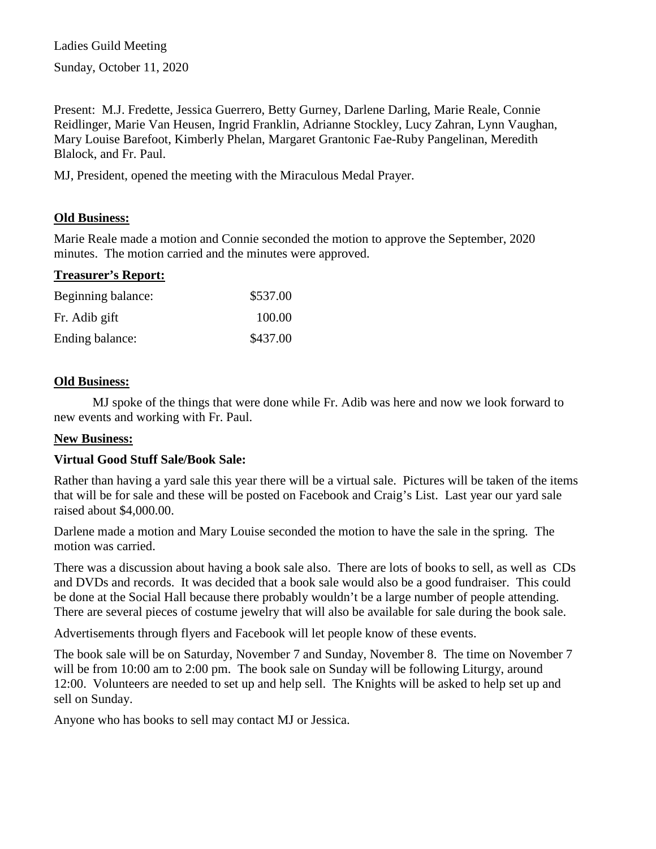Ladies Guild Meeting Sunday, October 11, 2020

Present: M.J. Fredette, Jessica Guerrero, Betty Gurney, Darlene Darling, Marie Reale, Connie Reidlinger, Marie Van Heusen, Ingrid Franklin, Adrianne Stockley, Lucy Zahran, Lynn Vaughan, Mary Louise Barefoot, Kimberly Phelan, Margaret Grantonic Fae-Ruby Pangelinan, Meredith Blalock, and Fr. Paul.

MJ, President, opened the meeting with the Miraculous Medal Prayer.

### **Old Business:**

Marie Reale made a motion and Connie seconded the motion to approve the September, 2020 minutes. The motion carried and the minutes were approved.

#### **Treasurer's Report:**

| Beginning balance: | \$537.00 |
|--------------------|----------|
| Fr. Adib gift      | 100.00   |
| Ending balance:    | \$437.00 |

#### **Old Business:**

MJ spoke of the things that were done while Fr. Adib was here and now we look forward to new events and working with Fr. Paul.

#### **New Business:**

#### **Virtual Good Stuff Sale/Book Sale:**

Rather than having a yard sale this year there will be a virtual sale. Pictures will be taken of the items that will be for sale and these will be posted on Facebook and Craig's List. Last year our yard sale raised about \$4,000.00.

Darlene made a motion and Mary Louise seconded the motion to have the sale in the spring. The motion was carried.

There was a discussion about having a book sale also. There are lots of books to sell, as well as CDs and DVDs and records. It was decided that a book sale would also be a good fundraiser. This could be done at the Social Hall because there probably wouldn't be a large number of people attending. There are several pieces of costume jewelry that will also be available for sale during the book sale.

Advertisements through flyers and Facebook will let people know of these events.

The book sale will be on Saturday, November 7 and Sunday, November 8. The time on November 7 will be from 10:00 am to 2:00 pm. The book sale on Sunday will be following Liturgy, around 12:00. Volunteers are needed to set up and help sell. The Knights will be asked to help set up and sell on Sunday.

Anyone who has books to sell may contact MJ or Jessica.